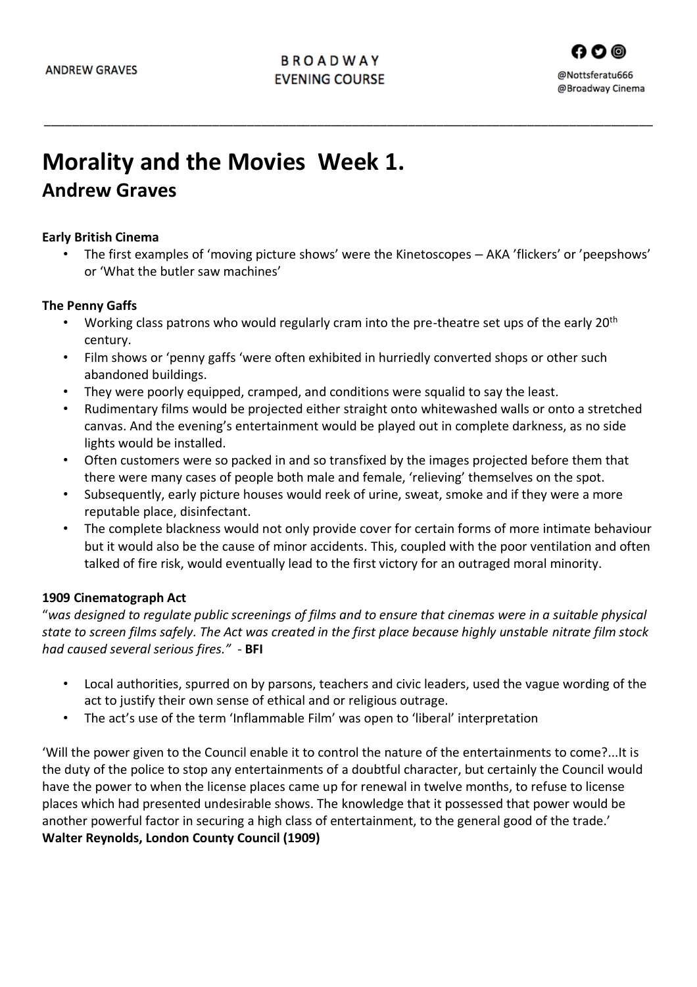\_\_\_\_\_\_\_\_\_\_\_\_\_\_\_\_\_\_\_\_\_\_\_\_\_\_\_\_\_\_\_\_\_\_\_\_\_\_\_\_\_\_\_\_\_\_\_\_\_\_\_\_\_\_\_\_\_\_\_\_\_\_\_\_\_\_\_\_\_\_\_\_\_\_\_\_\_\_\_\_\_\_\_\_\_\_\_

# **Morality and the Movies Week 1.**

# **Andrew Graves**

## **Early British Cinema**

• The first examples of 'moving picture shows' were the Kinetoscopes – AKA 'flickers' or 'peepshows' or 'What the butler saw machines'

## **The Penny Gaffs**

- Working class patrons who would regularly cram into the pre-theatre set ups of the early  $20<sup>th</sup>$ century.
- Film shows or 'penny gaffs 'were often exhibited in hurriedly converted shops or other such abandoned buildings.
- They were poorly equipped, cramped, and conditions were squalid to say the least.
- Rudimentary films would be projected either straight onto whitewashed walls or onto a stretched canvas. And the evening's entertainment would be played out in complete darkness, as no side lights would be installed.
- Often customers were so packed in and so transfixed by the images projected before them that there were many cases of people both male and female, 'relieving' themselves on the spot.
- Subsequently, early picture houses would reek of urine, sweat, smoke and if they were a more reputable place, disinfectant.
- The complete blackness would not only provide cover for certain forms of more intimate behaviour but it would also be the cause of minor accidents. This, coupled with the poor ventilation and often talked of fire risk, would eventually lead to the first victory for an outraged moral minority.

## **1909 Cinematograph Act**

"*was designed to regulate public screenings of films and to ensure that cinemas were in a suitable physical state to screen films safely. The Act was created in the first place because highly unstable nitrate film stock had caused several serious fires."* - **BFI**

- Local authorities, spurred on by parsons, teachers and civic leaders, used the vague wording of the act to justify their own sense of ethical and or religious outrage.
- The act's use of the term 'Inflammable Film' was open to 'liberal' interpretation

'Will the power given to the Council enable it to control the nature of the entertainments to come?...It is the duty of the police to stop any entertainments of a doubtful character, but certainly the Council would have the power to when the license places came up for renewal in twelve months, to refuse to license places which had presented undesirable shows. The knowledge that it possessed that power would be another powerful factor in securing a high class of entertainment, to the general good of the trade.' **Walter Reynolds, London County Council (1909)**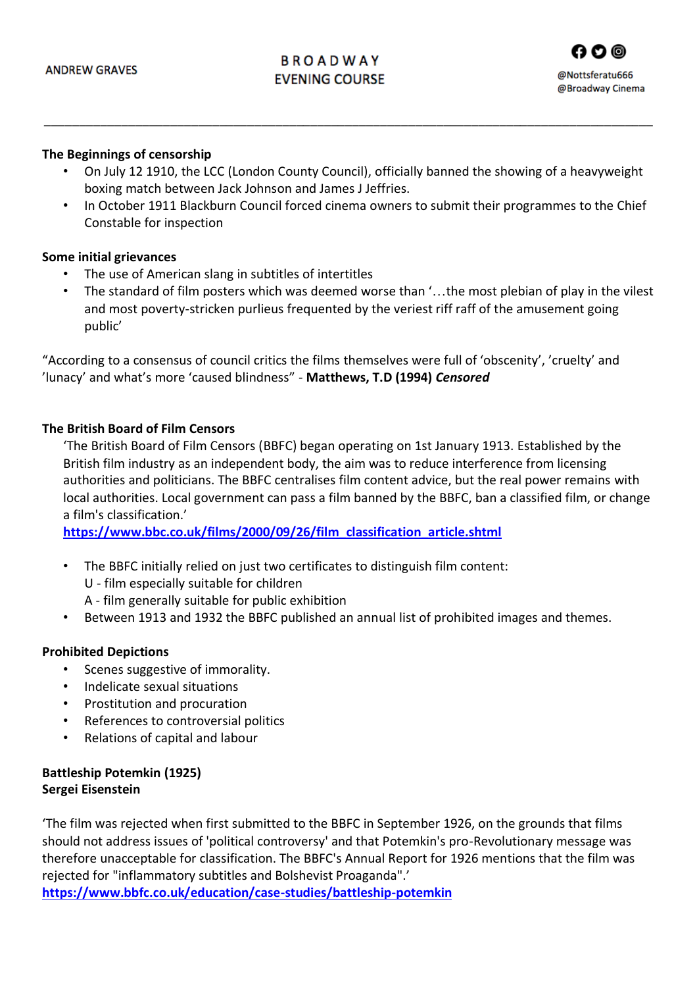# **BROADWAY EVENING COURSE**



#### **The Beginnings of censorship**

• On July 12 1910, the LCC (London County Council), officially banned the showing of a heavyweight boxing match between Jack Johnson and James J Jeffries.

\_\_\_\_\_\_\_\_\_\_\_\_\_\_\_\_\_\_\_\_\_\_\_\_\_\_\_\_\_\_\_\_\_\_\_\_\_\_\_\_\_\_\_\_\_\_\_\_\_\_\_\_\_\_\_\_\_\_\_\_\_\_\_\_\_\_\_\_\_\_\_\_\_\_\_\_\_\_\_\_\_\_\_\_\_\_\_

• In October 1911 Blackburn Council forced cinema owners to submit their programmes to the Chief Constable for inspection

#### **Some initial grievances**

- The use of American slang in subtitles of intertitles
- The standard of film posters which was deemed worse than '…the most plebian of play in the vilest and most poverty-stricken purlieus frequented by the veriest riff raff of the amusement going public'

"According to a consensus of council critics the films themselves were full of 'obscenity', 'cruelty' and 'lunacy' and what's more 'caused blindness" - **Matthews, T.D (1994)** *Censored*

#### **The British Board of Film Censors**

'The British Board of Film Censors (BBFC) began operating on 1st January 1913. Established by the British film industry as an independent body, the aim was to reduce interference from licensing authorities and politicians. The BBFC centralises film content advice, but the real power remains with local authorities. Local government can pass a film banned by the BBFC, ban a classified film, or change a film's classification.'

**[https://www.bbc.co.uk/films/2000/09/26/film\\_classification\\_article.shtml](https://www.bbc.co.uk/films/2000/09/26/film_classification_article.shtml)**

- The BBFC initially relied on just two certificates to distinguish film content:
	- U film especially suitable for children
	- A film generally suitable for public exhibition
- Between 1913 and 1932 the BBFC published an annual list of prohibited images and themes.

## **Prohibited Depictions**

- Scenes suggestive of immorality.
- Indelicate sexual situations
- Prostitution and procuration
- References to controversial politics
- Relations of capital and labour

## **Battleship Potemkin (1925) Sergei Eisenstein**

'The film was rejected when first submitted to the BBFC in September 1926, on the grounds that films should not address issues of 'political controversy' and that Potemkin's pro-Revolutionary message was therefore unacceptable for classification. The BBFC's Annual Report for 1926 mentions that the film was rejected for "inflammatory subtitles and Bolshevist Proaganda".'

**<https://www.bbfc.co.uk/education/case-studies/battleship-potemkin>**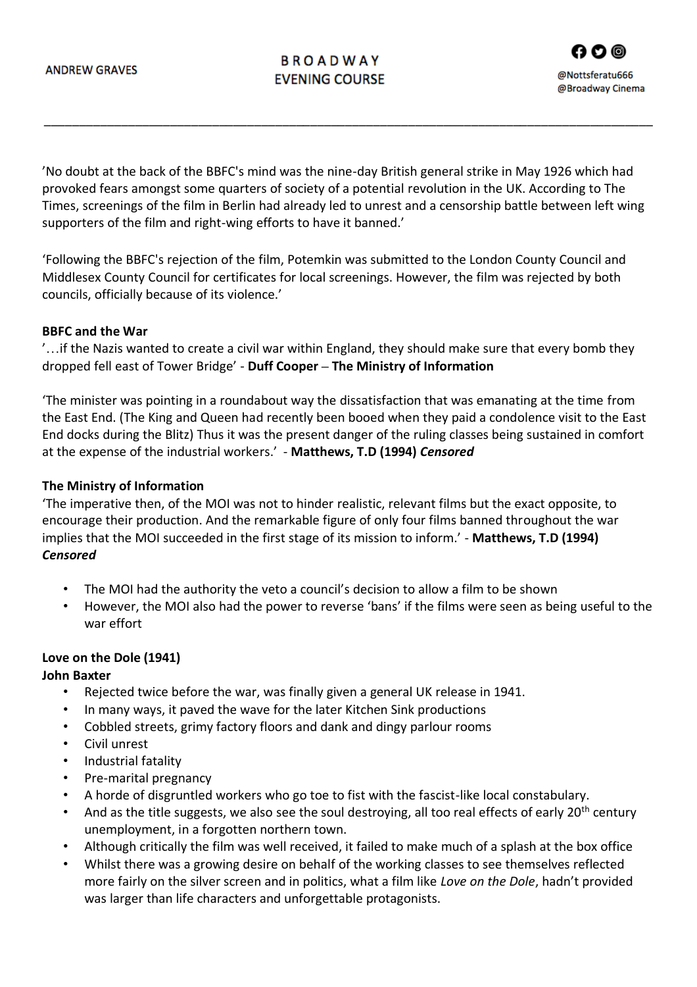# **BROADWAY EVENING COURSE**

'No doubt at the back of the BBFC's mind was the nine-day British general strike in May 1926 which had provoked fears amongst some quarters of society of a potential revolution in the UK. According to The Times, screenings of the film in Berlin had already led to unrest and a censorship battle between left wing supporters of the film and right-wing efforts to have it banned.'

\_\_\_\_\_\_\_\_\_\_\_\_\_\_\_\_\_\_\_\_\_\_\_\_\_\_\_\_\_\_\_\_\_\_\_\_\_\_\_\_\_\_\_\_\_\_\_\_\_\_\_\_\_\_\_\_\_\_\_\_\_\_\_\_\_\_\_\_\_\_\_\_\_\_\_\_\_\_\_\_\_\_\_\_\_\_\_

'Following the BBFC's rejection of the film, Potemkin was submitted to the London County Council and Middlesex County Council for certificates for local screenings. However, the film was rejected by both councils, officially because of its violence.'

#### **BBFC and the War**

'…if the Nazis wanted to create a civil war within England, they should make sure that every bomb they dropped fell east of Tower Bridge' - **Duff Cooper – The Ministry of Information**

'The minister was pointing in a roundabout way the dissatisfaction that was emanating at the time from the East End. (The King and Queen had recently been booed when they paid a condolence visit to the East End docks during the Blitz) Thus it was the present danger of the ruling classes being sustained in comfort at the expense of the industrial workers.' - **Matthews, T.D (1994)** *Censored*

#### **The Ministry of Information**

'The imperative then, of the MOI was not to hinder realistic, relevant films but the exact opposite, to encourage their production. And the remarkable figure of only four films banned throughout the war implies that the MOI succeeded in the first stage of its mission to inform.' - **Matthews, T.D (1994)**  *Censored*

- The MOI had the authority the veto a council's decision to allow a film to be shown
- However, the MOI also had the power to reverse 'bans' if the films were seen as being useful to the war effort

#### **Love on the Dole (1941) John Baxter**

- Rejected twice before the war, was finally given a general UK release in 1941.
- In many ways, it paved the wave for the later Kitchen Sink productions
- Cobbled streets, grimy factory floors and dank and dingy parlour rooms
- Civil unrest
- Industrial fatality
- Pre-marital pregnancy
- A horde of disgruntled workers who go toe to fist with the fascist-like local constabulary.
- And as the title suggests, we also see the soul destroying, all too real effects of early 20<sup>th</sup> century unemployment, in a forgotten northern town.
- Although critically the film was well received, it failed to make much of a splash at the box office
- Whilst there was a growing desire on behalf of the working classes to see themselves reflected more fairly on the silver screen and in politics, what a film like *Love on the Dole*, hadn't provided was larger than life characters and unforgettable protagonists.